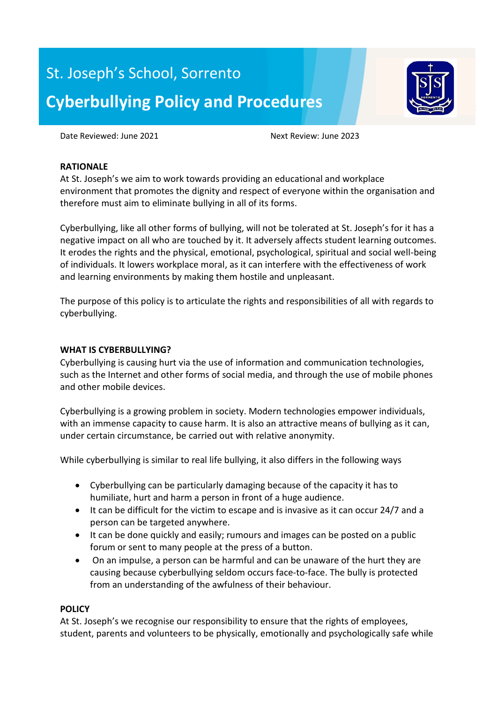# St. Joseph's School, Sorrento **Cyberbullying Policy and Procedures**



Date Reviewed: June 2021 Next Review: June 2023

### **RATIONALE**

At St. Joseph's we aim to work towards providing an educational and workplace environment that promotes the dignity and respect of everyone within the organisation and therefore must aim to eliminate bullying in all of its forms.

Cyberbullying, like all other forms of bullying, will not be tolerated at St. Joseph's for it has a negative impact on all who are touched by it. It adversely affects student learning outcomes. It erodes the rights and the physical, emotional, psychological, spiritual and social well-being of individuals. It lowers workplace moral, as it can interfere with the effectiveness of work and learning environments by making them hostile and unpleasant.

The purpose of this policy is to articulate the rights and responsibilities of all with regards to cyberbullying.

### **WHAT IS CYBERBULLYING?**

Cyberbullying is causing hurt via the use of information and communication technologies, such as the Internet and other forms of social media, and through the use of mobile phones and other mobile devices.

Cyberbullying is a growing problem in society. Modern technologies empower individuals, with an immense capacity to cause harm. It is also an attractive means of bullying as it can, under certain circumstance, be carried out with relative anonymity.

While cyberbullying is similar to real life bullying, it also differs in the following ways

- Cyberbullying can be particularly damaging because of the capacity it has to humiliate, hurt and harm a person in front of a huge audience.
- It can be difficult for the victim to escape and is invasive as it can occur 24/7 and a person can be targeted anywhere.
- It can be done quickly and easily; rumours and images can be posted on a public forum or sent to many people at the press of a button.
- On an impulse, a person can be harmful and can be unaware of the hurt they are causing because cyberbullying seldom occurs face-to-face. The bully is protected from an understanding of the awfulness of their behaviour.

# **POLICY**

At St. Joseph's we recognise our responsibility to ensure that the rights of employees, student, parents and volunteers to be physically, emotionally and psychologically safe while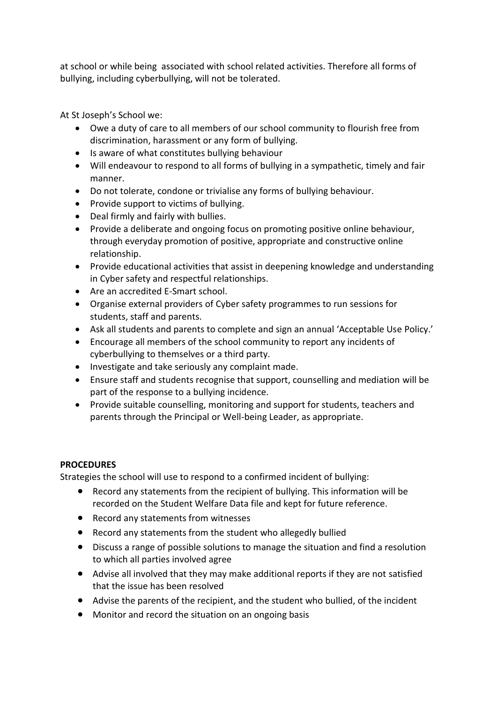at school or while being associated with school related activities. Therefore all forms of bullying, including cyberbullying, will not be tolerated.

At St Joseph's School we:

- Owe a duty of care to all members of our school community to flourish free from discrimination, harassment or any form of bullying.
- Is aware of what constitutes bullying behaviour
- Will endeavour to respond to all forms of bullying in a sympathetic, timely and fair manner.
- Do not tolerate, condone or trivialise any forms of bullying behaviour.
- Provide support to victims of bullying.
- Deal firmly and fairly with bullies.
- Provide a deliberate and ongoing focus on promoting positive online behaviour, through everyday promotion of positive, appropriate and constructive online relationship.
- Provide educational activities that assist in deepening knowledge and understanding in Cyber safety and respectful relationships.
- Are an accredited E-Smart school.
- Organise external providers of Cyber safety programmes to run sessions for students, staff and parents.
- Ask all students and parents to complete and sign an annual 'Acceptable Use Policy.'
- Encourage all members of the school community to report any incidents of cyberbullying to themselves or a third party.
- Investigate and take seriously any complaint made.
- Ensure staff and students recognise that support, counselling and mediation will be part of the response to a bullying incidence.
- Provide suitable counselling, monitoring and support for students, teachers and parents through the Principal or Well-being Leader, as appropriate.

# **PROCEDURES**

Strategies the school will use to respond to a confirmed incident of bullying:

- Record any statements from the recipient of bullying. This information will be recorded on the Student Welfare Data file and kept for future reference.
- Record any statements from witnesses
- Record any statements from the student who allegedly bullied
- Discuss a range of possible solutions to manage the situation and find a resolution to which all parties involved agree
- Advise all involved that they may make additional reports if they are not satisfied that the issue has been resolved
- Advise the parents of the recipient, and the student who bullied, of the incident
- Monitor and record the situation on an ongoing basis